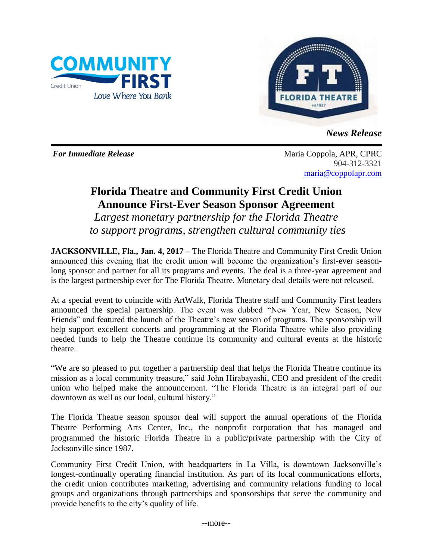



*News Release*

*For Immediate Release* Maria Coppola, APR, CPRC 904-312-3321 [maria@coppolapr.com](mailto:maria@coppolapr.com)

## **Florida Theatre and Community First Credit Union Announce First-Ever Season Sponsor Agreement**

*Largest monetary partnership for the Florida Theatre to support programs, strengthen cultural community ties*

**JACKSONVILLE, Fla., Jan. 4, 2017 –** The Florida Theatre and Community First Credit Union announced this evening that the credit union will become the organization's first-ever seasonlong sponsor and partner for all its programs and events. The deal is a three-year agreement and is the largest partnership ever for The Florida Theatre. Monetary deal details were not released.

At a special event to coincide with ArtWalk, Florida Theatre staff and Community First leaders announced the special partnership. The event was dubbed "New Year, New Season, New Friends" and featured the launch of the Theatre's new season of programs. The sponsorship will help support excellent concerts and programming at the Florida Theatre while also providing needed funds to help the Theatre continue its community and cultural events at the historic theatre.

"We are so pleased to put together a partnership deal that helps the Florida Theatre continue its mission as a local community treasure," said John Hirabayashi, CEO and president of the credit union who helped make the announcement. "The Florida Theatre is an integral part of our downtown as well as our local, cultural history."

The Florida Theatre season sponsor deal will support the annual operations of the Florida Theatre Performing Arts Center, Inc., the nonprofit corporation that has managed and programmed the historic Florida Theatre in a public/private partnership with the City of Jacksonville since 1987.

Community First Credit Union, with headquarters in La Villa, is downtown Jacksonville's longest-continually operating financial institution. As part of its local communications efforts, the credit union contributes marketing, advertising and community relations funding to local groups and organizations through partnerships and sponsorships that serve the community and provide benefits to the city's quality of life.